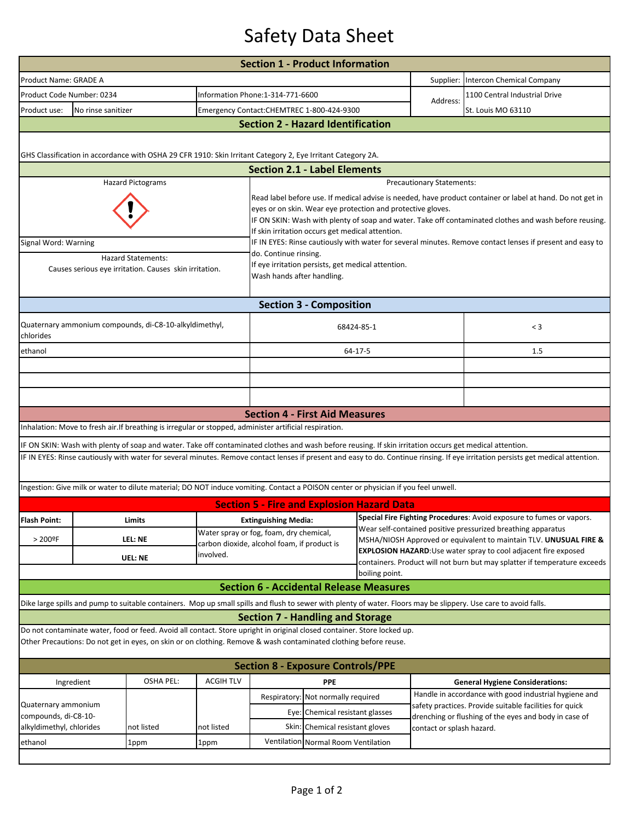## Safety Data Sheet

|                                                                                                                  |                                     |                                                                                                                                                         |                  | <b>Section 1 - Product Information</b>                                                                                                                                                                                                                                                                                                  |                                     |                                                                                                                                   |                                                                           |                                                                                                                                                                                   |  |  |  |  |  |
|------------------------------------------------------------------------------------------------------------------|-------------------------------------|---------------------------------------------------------------------------------------------------------------------------------------------------------|------------------|-----------------------------------------------------------------------------------------------------------------------------------------------------------------------------------------------------------------------------------------------------------------------------------------------------------------------------------------|-------------------------------------|-----------------------------------------------------------------------------------------------------------------------------------|---------------------------------------------------------------------------|-----------------------------------------------------------------------------------------------------------------------------------------------------------------------------------|--|--|--|--|--|
| Product Name: GRADE A                                                                                            |                                     |                                                                                                                                                         |                  |                                                                                                                                                                                                                                                                                                                                         |                                     |                                                                                                                                   | Supplier: Intercon Chemical Company                                       |                                                                                                                                                                                   |  |  |  |  |  |
| Product Code Number: 0234                                                                                        |                                     |                                                                                                                                                         |                  | Information Phone:1-314-771-6600                                                                                                                                                                                                                                                                                                        |                                     |                                                                                                                                   | Address:                                                                  | 1100 Central Industrial Drive                                                                                                                                                     |  |  |  |  |  |
| Product use:                                                                                                     | No rinse sanitizer                  |                                                                                                                                                         |                  | Emergency Contact:CHEMTREC 1-800-424-9300                                                                                                                                                                                                                                                                                               |                                     |                                                                                                                                   |                                                                           | St. Louis MO 63110                                                                                                                                                                |  |  |  |  |  |
|                                                                                                                  |                                     |                                                                                                                                                         |                  | <b>Section 2 - Hazard Identification</b>                                                                                                                                                                                                                                                                                                |                                     |                                                                                                                                   |                                                                           |                                                                                                                                                                                   |  |  |  |  |  |
|                                                                                                                  |                                     |                                                                                                                                                         |                  |                                                                                                                                                                                                                                                                                                                                         |                                     |                                                                                                                                   |                                                                           |                                                                                                                                                                                   |  |  |  |  |  |
|                                                                                                                  |                                     | GHS Classification in accordance with OSHA 29 CFR 1910: Skin Irritant Category 2, Eye Irritant Category 2A.                                             |                  |                                                                                                                                                                                                                                                                                                                                         |                                     |                                                                                                                                   |                                                                           |                                                                                                                                                                                   |  |  |  |  |  |
|                                                                                                                  | <b>Section 2.1 - Label Elements</b> |                                                                                                                                                         |                  |                                                                                                                                                                                                                                                                                                                                         |                                     |                                                                                                                                   |                                                                           |                                                                                                                                                                                   |  |  |  |  |  |
|                                                                                                                  |                                     | <b>Hazard Pictograms</b>                                                                                                                                |                  |                                                                                                                                                                                                                                                                                                                                         | <b>Precautionary Statements:</b>    |                                                                                                                                   |                                                                           |                                                                                                                                                                                   |  |  |  |  |  |
|                                                                                                                  |                                     |                                                                                                                                                         |                  | Read label before use. If medical advise is needed, have product container or label at hand. Do not get in<br>eyes or on skin. Wear eye protection and protective gloves.<br>IF ON SKIN: Wash with plenty of soap and water. Take off contaminated clothes and wash before reusing.<br>If skin irritation occurs get medical attention. |                                     |                                                                                                                                   |                                                                           |                                                                                                                                                                                   |  |  |  |  |  |
| Signal Word: Warning                                                                                             |                                     |                                                                                                                                                         |                  | IF IN EYES: Rinse cautiously with water for several minutes. Remove contact lenses if present and easy to                                                                                                                                                                                                                               |                                     |                                                                                                                                   |                                                                           |                                                                                                                                                                                   |  |  |  |  |  |
| <b>Hazard Statements:</b><br>Causes serious eye irritation. Causes skin irritation.                              |                                     |                                                                                                                                                         |                  | do. Continue rinsing.<br>If eye irritation persists, get medical attention.<br>Wash hands after handling.                                                                                                                                                                                                                               |                                     |                                                                                                                                   |                                                                           |                                                                                                                                                                                   |  |  |  |  |  |
|                                                                                                                  |                                     |                                                                                                                                                         |                  |                                                                                                                                                                                                                                                                                                                                         | <b>Section 3 - Composition</b>      |                                                                                                                                   |                                                                           |                                                                                                                                                                                   |  |  |  |  |  |
| Quaternary ammonium compounds, di-C8-10-alkyldimethyl,<br>chlorides                                              |                                     |                                                                                                                                                         |                  | 68424-85-1                                                                                                                                                                                                                                                                                                                              |                                     |                                                                                                                                   | $<$ 3                                                                     |                                                                                                                                                                                   |  |  |  |  |  |
| ethanol                                                                                                          |                                     |                                                                                                                                                         |                  |                                                                                                                                                                                                                                                                                                                                         |                                     | 64-17-5                                                                                                                           |                                                                           | 1.5                                                                                                                                                                               |  |  |  |  |  |
|                                                                                                                  |                                     |                                                                                                                                                         |                  |                                                                                                                                                                                                                                                                                                                                         |                                     |                                                                                                                                   |                                                                           |                                                                                                                                                                                   |  |  |  |  |  |
|                                                                                                                  |                                     |                                                                                                                                                         |                  |                                                                                                                                                                                                                                                                                                                                         |                                     |                                                                                                                                   |                                                                           |                                                                                                                                                                                   |  |  |  |  |  |
|                                                                                                                  |                                     |                                                                                                                                                         |                  |                                                                                                                                                                                                                                                                                                                                         |                                     |                                                                                                                                   |                                                                           |                                                                                                                                                                                   |  |  |  |  |  |
|                                                                                                                  |                                     |                                                                                                                                                         |                  | <b>Section 4 - First Aid Measures</b>                                                                                                                                                                                                                                                                                                   |                                     |                                                                                                                                   |                                                                           |                                                                                                                                                                                   |  |  |  |  |  |
|                                                                                                                  |                                     | Inhalation: Move to fresh air. If breathing is irregular or stopped, administer artificial respiration.                                                 |                  |                                                                                                                                                                                                                                                                                                                                         |                                     |                                                                                                                                   |                                                                           |                                                                                                                                                                                   |  |  |  |  |  |
|                                                                                                                  |                                     | IF ON SKIN: Wash with plenty of soap and water. Take off contaminated clothes and wash before reusing. If skin irritation occurs get medical attention. |                  |                                                                                                                                                                                                                                                                                                                                         |                                     |                                                                                                                                   |                                                                           |                                                                                                                                                                                   |  |  |  |  |  |
|                                                                                                                  |                                     |                                                                                                                                                         |                  |                                                                                                                                                                                                                                                                                                                                         |                                     |                                                                                                                                   |                                                                           | IF IN EYES: Rinse cautiously with water for several minutes. Remove contact lenses if present and easy to do. Continue rinsing. If eye irritation persists get medical attention. |  |  |  |  |  |
|                                                                                                                  |                                     | Ingestion: Give milk or water to dilute material; DO NOT induce vomiting. Contact a POISON center or physician if you feel unwell.                      |                  |                                                                                                                                                                                                                                                                                                                                         |                                     |                                                                                                                                   |                                                                           |                                                                                                                                                                                   |  |  |  |  |  |
|                                                                                                                  |                                     |                                                                                                                                                         |                  |                                                                                                                                                                                                                                                                                                                                         |                                     | <b>Section 5 - Fire and Explosion Hazard Data</b>                                                                                 |                                                                           |                                                                                                                                                                                   |  |  |  |  |  |
| <b>Flash Point:</b>                                                                                              | Limits                              |                                                                                                                                                         |                  | <b>Extinguishing Media:</b>                                                                                                                                                                                                                                                                                                             |                                     |                                                                                                                                   | Special Fire Fighting Procedures: Avoid exposure to fumes or vapors.      |                                                                                                                                                                                   |  |  |  |  |  |
|                                                                                                                  | $>200$ °F<br>LEL: NE                |                                                                                                                                                         |                  | Water spray or fog, foam, dry chemical,                                                                                                                                                                                                                                                                                                 |                                     | Wear self-contained positive pressurized breathing apparatus<br>MSHA/NIOSH Approved or equivalent to maintain TLV. UNUSUAL FIRE & |                                                                           |                                                                                                                                                                                   |  |  |  |  |  |
|                                                                                                                  |                                     |                                                                                                                                                         | involved.        | carbon dioxide, alcohol foam, if product is                                                                                                                                                                                                                                                                                             |                                     |                                                                                                                                   | EXPLOSION HAZARD: Use water spray to cool adjacent fire exposed           |                                                                                                                                                                                   |  |  |  |  |  |
| UEL: NE                                                                                                          |                                     |                                                                                                                                                         |                  |                                                                                                                                                                                                                                                                                                                                         |                                     |                                                                                                                                   | containers. Product will not burn but may splatter if temperature exceeds |                                                                                                                                                                                   |  |  |  |  |  |
|                                                                                                                  |                                     |                                                                                                                                                         |                  |                                                                                                                                                                                                                                                                                                                                         |                                     | boiling point.<br><b>Section 6 - Accidental Release Measures</b>                                                                  |                                                                           |                                                                                                                                                                                   |  |  |  |  |  |
|                                                                                                                  |                                     |                                                                                                                                                         |                  |                                                                                                                                                                                                                                                                                                                                         |                                     |                                                                                                                                   |                                                                           | Dike large spills and pump to suitable containers. Mop up small spills and flush to sewer with plenty of water. Floors may be slippery. Use care to avoid falls.                  |  |  |  |  |  |
|                                                                                                                  |                                     |                                                                                                                                                         |                  | <b>Section 7 - Handling and Storage</b>                                                                                                                                                                                                                                                                                                 |                                     |                                                                                                                                   |                                                                           |                                                                                                                                                                                   |  |  |  |  |  |
|                                                                                                                  |                                     | Do not contaminate water, food or feed. Avoid all contact. Store upright in original closed container. Store locked up.                                 |                  |                                                                                                                                                                                                                                                                                                                                         |                                     |                                                                                                                                   |                                                                           |                                                                                                                                                                                   |  |  |  |  |  |
| Other Precautions: Do not get in eyes, on skin or on clothing. Remove & wash contaminated clothing before reuse. |                                     |                                                                                                                                                         |                  |                                                                                                                                                                                                                                                                                                                                         |                                     |                                                                                                                                   |                                                                           |                                                                                                                                                                                   |  |  |  |  |  |
| <b>Section 8 - Exposure Controls/PPE</b>                                                                         |                                     |                                                                                                                                                         |                  |                                                                                                                                                                                                                                                                                                                                         |                                     |                                                                                                                                   |                                                                           |                                                                                                                                                                                   |  |  |  |  |  |
| Ingredient                                                                                                       |                                     | <b>OSHA PEL:</b>                                                                                                                                        | <b>ACGIH TLV</b> |                                                                                                                                                                                                                                                                                                                                         | <b>PPE</b>                          |                                                                                                                                   |                                                                           | <b>General Hygiene Considerations:</b>                                                                                                                                            |  |  |  |  |  |
|                                                                                                                  |                                     |                                                                                                                                                         |                  | Respiratory: Not normally required                                                                                                                                                                                                                                                                                                      |                                     |                                                                                                                                   |                                                                           | Handle in accordance with good industrial hygiene and                                                                                                                             |  |  |  |  |  |
| Quaternary ammonium<br>compounds, di-C8-10-                                                                      |                                     |                                                                                                                                                         |                  |                                                                                                                                                                                                                                                                                                                                         | Eye: Chemical resistant glasses     |                                                                                                                                   |                                                                           | safety practices. Provide suitable facilities for quick<br>drenching or flushing of the eyes and body in case of                                                                  |  |  |  |  |  |
| alkyldimethyl, chlorides                                                                                         |                                     | not listed                                                                                                                                              | not listed       |                                                                                                                                                                                                                                                                                                                                         | Skin: Chemical resistant gloves     |                                                                                                                                   | contact or splash hazard.                                                 |                                                                                                                                                                                   |  |  |  |  |  |
| ethanol                                                                                                          |                                     | 1ppm                                                                                                                                                    | 1ppm             |                                                                                                                                                                                                                                                                                                                                         | Ventilation Normal Room Ventilation |                                                                                                                                   |                                                                           |                                                                                                                                                                                   |  |  |  |  |  |
|                                                                                                                  |                                     |                                                                                                                                                         |                  |                                                                                                                                                                                                                                                                                                                                         |                                     |                                                                                                                                   |                                                                           |                                                                                                                                                                                   |  |  |  |  |  |